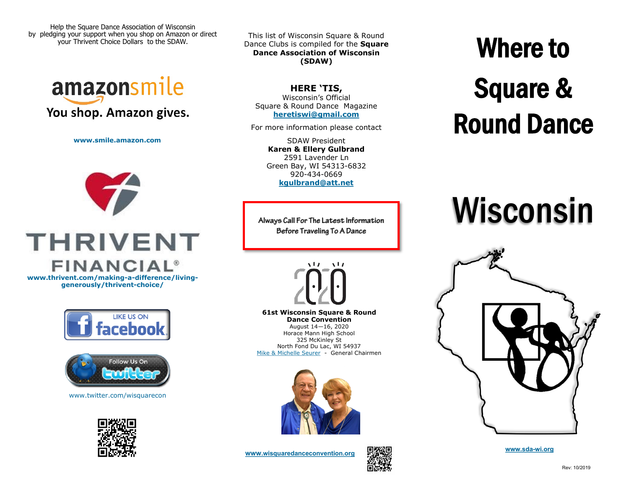Help the Square Dance Association of Wisconsin by pledging your support when you shop on Amazon or direct your Thrivent Choice Dollars to the SDAW.



**www.smile.amazon.com**



**generously/thrivent-choice/**





www.twitter.com/wisquarecon



This list of Wisconsin Square & Round Dance Clubs is compiled for the **Square Dance Association of Wisconsin (SDAW)**

**HERE 'TIS,** Wisconsin's Official Square & Round Dance Magazine **[heretiswi@gmail.com](mailto:heretiswi@gmail.com?subject=Here%20Tis)**

For more information please contact

SDAW President **Karen & Ellery Gulbrand** 2591 Lavender Ln Green Bay, WI 54313-6832 920-434-0669 **[kgulbrand@att.net](mailto:kgulbrand@att.net)**

Always Call For The Latest Information Before Traveling To A Dance



**61st Wisconsin Square & Round Dance Convention** August 14—16, 2020 Horace Mann High School 325 McKinley St North Fond Du Lac, WI 54937 [Mike & Michelle Seurer](mailto:mseurer@att.ent) - General Chairmen



**www[.wisquaredanceconvention.org](http://www.wisquaredanceconvention.org)**<br> **www.wisquaredanceconvention.org** 



## Where to Square & Round Dance

# Wisconsin